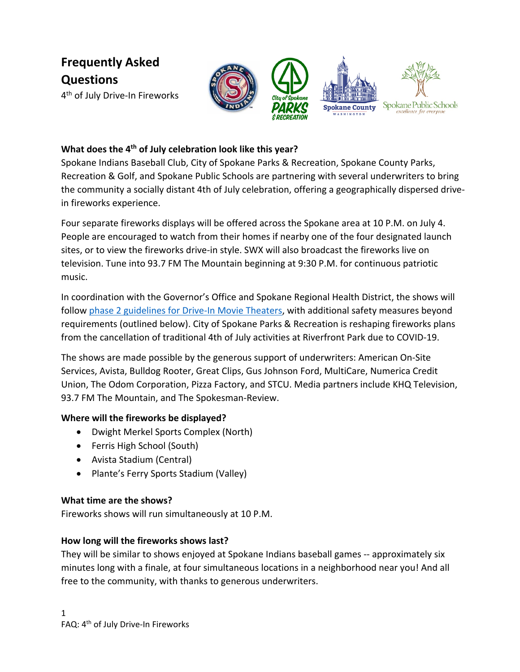**Frequently Asked Questions**

4<sup>th</sup> of July Drive-In Fireworks



## **What does the 4th of July celebration look like this year?**

Spokane Indians Baseball Club, City of Spokane Parks & Recreation, Spokane County Parks, Recreation & Golf, and Spokane Public Schools are partnering with several underwriters to bring the community a socially distant 4th of July celebration, offering a geographically dispersed drivein fireworks experience.

Four separate fireworks displays will be offered across the Spokane area at 10 P.M. on July 4. People are encouraged to watch from their homes if nearby one of the four designated launch sites, or to view the fireworks drive-in style. SWX will also broadcast the fireworks live on television. Tune into 93.7 FM The Mountain beginning at 9:30 P.M. for continuous patriotic music.

In coordination with the Governor's Office and Spokane Regional Health District, the shows will follow [phase 2 guidelines for Drive-In Movie Theaters,](https://www.governor.wa.gov/sites/default/files/COVID19%20Phase%202%20Drive%20In%20Theaters%20Guidance.pdf?utm_medium=email&utm_source=govdelivery) with additional safety measures beyond requirements (outlined below). City of Spokane Parks & Recreation is reshaping fireworks plans from the cancellation of traditional 4th of July activities at Riverfront Park due to COVID-19.

The shows are made possible by the generous support of underwriters: American On-Site Services, Avista, Bulldog Rooter, Great Clips, Gus Johnson Ford, MultiCare, Numerica Credit Union, The Odom Corporation, Pizza Factory, and STCU. Media partners include KHQ Television, 93.7 FM The Mountain, and The Spokesman-Review.

### **Where will the fireworks be displayed?**

- Dwight Merkel Sports Complex (North)
- Ferris High School (South)
- Avista Stadium (Central)
- Plante's Ferry Sports Stadium (Valley)

### **What time are the shows?**

Fireworks shows will run simultaneously at 10 P.M.

### **How long will the fireworks shows last?**

They will be similar to shows enjoyed at Spokane Indians baseball games -- approximately six minutes long with a finale, at four simultaneous locations in a neighborhood near you! And all free to the community, with thanks to generous underwriters.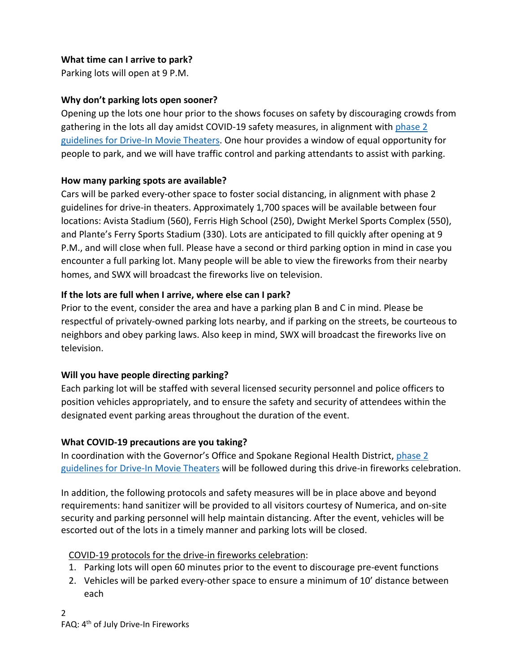## **What time can I arrive to park?**

Parking lots will open at 9 P.M.

## **Why don't parking lots open sooner?**

Opening up the lots one hour prior to the shows focuses on safety by discouraging crowds from gathering in the lots all day amidst COVID-19 safety measures, in alignment wit[h phase 2](https://www.governor.wa.gov/sites/default/files/COVID19%20Phase%202%20Drive%20In%20Theaters%20Guidance.pdf?utm_medium=email&utm_source=govdelivery)  [guidelines for Drive-In Movie Theaters.](https://www.governor.wa.gov/sites/default/files/COVID19%20Phase%202%20Drive%20In%20Theaters%20Guidance.pdf?utm_medium=email&utm_source=govdelivery) One hour provides a window of equal opportunity for people to park, and we will have traffic control and parking attendants to assist with parking.

## **How many parking spots are available?**

Cars will be parked every-other space to foster social distancing, in alignment with phase 2 guidelines for drive-in theaters. Approximately 1,700 spaces will be available between four locations: Avista Stadium (560), Ferris High School (250), Dwight Merkel Sports Complex (550), and Plante's Ferry Sports Stadium (330). Lots are anticipated to fill quickly after opening at 9 P.M., and will close when full. Please have a second or third parking option in mind in case you encounter a full parking lot. Many people will be able to view the fireworks from their nearby homes, and SWX will broadcast the fireworks live on television.

# **If the lots are full when I arrive, where else can I park?**

Prior to the event, consider the area and have a parking plan B and C in mind. Please be respectful of privately-owned parking lots nearby, and if parking on the streets, be courteous to neighbors and obey parking laws. Also keep in mind, SWX will broadcast the fireworks live on television.

# **Will you have people directing parking?**

Each parking lot will be staffed with several licensed security personnel and police officers to position vehicles appropriately, and to ensure the safety and security of attendees within the designated event parking areas throughout the duration of the event.

# **What COVID-19 precautions are you taking?**

In coordination with the Governor's Office and Spokane Regional Health District, phase 2 [guidelines for Drive-In Movie Theaters](https://www.governor.wa.gov/sites/default/files/COVID19%20Phase%202%20Drive%20In%20Theaters%20Guidance.pdf?utm_medium=email&utm_source=govdelivery) will be followed during this drive-in fireworks celebration.

In addition, the following protocols and safety measures will be in place above and beyond requirements: hand sanitizer will be provided to all visitors courtesy of Numerica, and on-site security and parking personnel will help maintain distancing. After the event, vehicles will be escorted out of the lots in a timely manner and parking lots will be closed.

# COVID-19 protocols for the drive-in fireworks celebration:

- 1. Parking lots will open 60 minutes prior to the event to discourage pre-event functions
- 2. Vehicles will be parked every-other space to ensure a minimum of 10' distance between each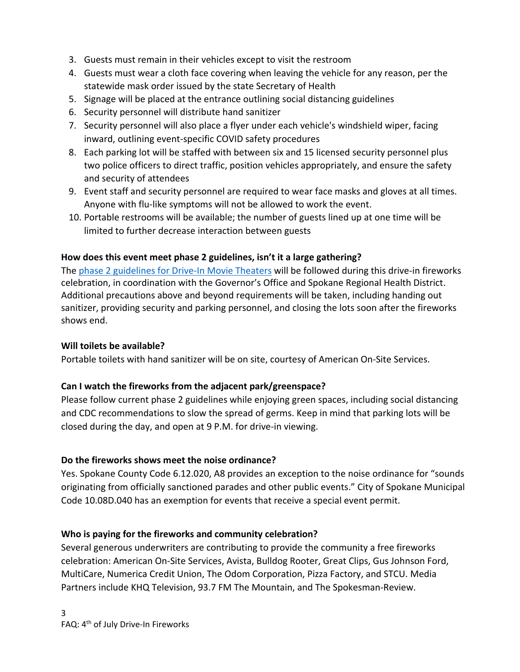- 3. Guests must remain in their vehicles except to visit the restroom
- 4. Guests must wear a cloth face covering when leaving the vehicle for any reason, per the statewide mask order issued by the state Secretary of Health
- 5. Signage will be placed at the entrance outlining social distancing guidelines
- 6. Security personnel will distribute hand sanitizer
- 7. Security personnel will also place a flyer under each vehicle's windshield wiper, facing inward, outlining event-specific COVID safety procedures
- 8. Each parking lot will be staffed with between six and 15 licensed security personnel plus two police officers to direct traffic, position vehicles appropriately, and ensure the safety and security of attendees
- 9. Event staff and security personnel are required to wear face masks and gloves at all times. Anyone with flu-like symptoms will not be allowed to work the event.
- 10. Portable restrooms will be available; the number of guests lined up at one time will be limited to further decrease interaction between guests

## **How does this event meet phase 2 guidelines, isn't it a large gathering?**

The [phase 2 guidelines for Drive-In Movie Theaters](https://www.governor.wa.gov/sites/default/files/COVID19%20Phase%202%20Drive%20In%20Theaters%20Guidance.pdf?utm_medium=email&utm_source=govdelivery) will be followed during this drive-in fireworks celebration, in coordination with the Governor's Office and Spokane Regional Health District. Additional precautions above and beyond requirements will be taken, including handing out sanitizer, providing security and parking personnel, and closing the lots soon after the fireworks shows end.

### **Will toilets be available?**

Portable toilets with hand sanitizer will be on site, courtesy of American On-Site Services.

### **Can I watch the fireworks from the adjacent park/greenspace?**

Please follow current phase 2 guidelines while enjoying green spaces, including social distancing and CDC recommendations to slow the spread of germs. Keep in mind that parking lots will be closed during the day, and open at 9 P.M. for drive-in viewing.

### **Do the fireworks shows meet the noise ordinance?**

Yes. Spokane County Code 6.12.020, A8 provides an exception to the noise ordinance for "sounds originating from officially sanctioned parades and other public events." City of Spokane Municipal Code 10.08D.040 has an exemption for events that receive a special event permit.

### **Who is paying for the fireworks and community celebration?**

Several generous underwriters are contributing to provide the community a free fireworks celebration: American On-Site Services, Avista, Bulldog Rooter, Great Clips, Gus Johnson Ford, MultiCare, Numerica Credit Union, The Odom Corporation, Pizza Factory, and STCU. Media Partners include KHQ Television, 93.7 FM The Mountain, and The Spokesman-Review.